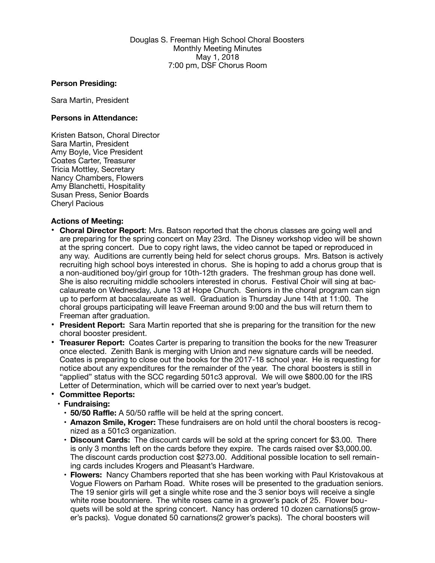Douglas S. Freeman High School Choral Boosters Monthly Meeting Minutes May 1, 2018 7:00 pm, DSF Chorus Room

## **Person Presiding:**

Sara Martin, President

## **Persons in Attendance:**

Kristen Batson, Choral Director Sara Martin, President Amy Boyle, Vice President Coates Carter, Treasurer Tricia Mottley, Secretary Nancy Chambers, Flowers Amy Blanchetti, Hospitality Susan Press, Senior Boards Cheryl Pacious

## **Actions of Meeting:**

- **Choral Director Report**: Mrs. Batson reported that the chorus classes are going well and are preparing for the spring concert on May 23rd. The Disney workshop video will be shown at the spring concert. Due to copy right laws, the video cannot be taped or reproduced in any way. Auditions are currently being held for select chorus groups. Mrs. Batson is actively recruiting high school boys interested in chorus. She is hoping to add a chorus group that is a non-auditioned boy/girl group for 10th-12th graders. The freshman group has done well. She is also recruiting middle schoolers interested in chorus. Festival Choir will sing at baccalaureate on Wednesday, June 13 at Hope Church. Seniors in the choral program can sign up to perform at baccalaureate as well. Graduation is Thursday June 14th at 11:00. The choral groups participating will leave Freeman around 9:00 and the bus will return them to Freeman after graduation.
- **President Report:** Sara Martin reported that she is preparing for the transition for the new choral booster president.
- **Treasurer Report:** Coates Carter is preparing to transition the books for the new Treasurer once elected. Zenith Bank is merging with Union and new signature cards will be needed. Coates is preparing to close out the books for the 2017-18 school year. He is requesting for notice about any expenditures for the remainder of the year. The choral boosters is still in "applied" status with the SCC regarding 501c3 approval. We will owe \$800.00 for the IRS Letter of Determination, which will be carried over to next year's budget.

## • **Committee Reports:**

- **• Fundraising:** 
	- **• 50/50 Raffle:** A 50/50 raffle will be held at the spring concert.
	- **• Amazon Smile, Kroger:** These fundraisers are on hold until the choral boosters is recognized as a 501c3 organization.
	- **• Discount Cards:** The discount cards will be sold at the spring concert for \$3.00. There is only 3 months left on the cards before they expire. The cards raised over \$3,000.00. The discount cards production cost \$273.00. Additional possible location to sell remaining cards includes Krogers and Pleasant's Hardware.
	- **• Flowers:** Nancy Chambers reported that she has been working with Paul Kristovakous at Vogue Flowers on Parham Road. White roses will be presented to the graduation seniors. The 19 senior girls will get a single white rose and the 3 senior boys will receive a single white rose boutonniere. The white roses came in a grower's pack of 25. Flower bouquets will be sold at the spring concert. Nancy has ordered 10 dozen carnations(5 grower's packs). Vogue donated 50 carnations(2 grower's packs). The choral boosters will